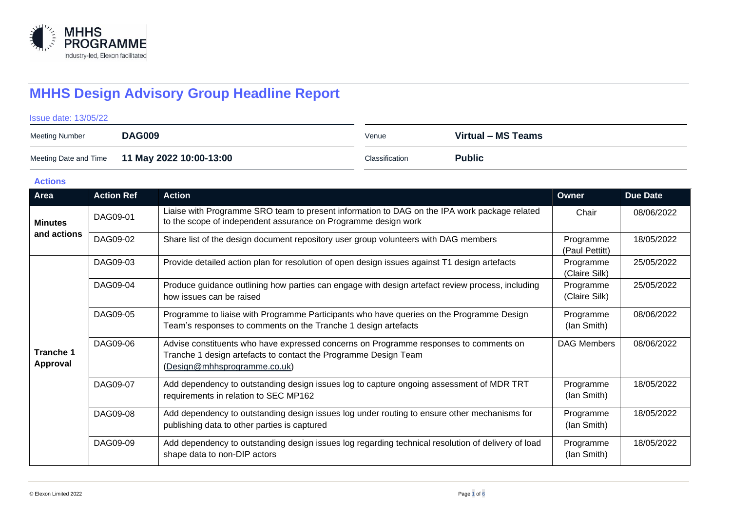

# **MHHS Design Advisory Group Headline Report**

Issue date: 13/05/22

| Meeting Number | <b>DAG009</b>                                 | Venue          | Virtual - MS Teams |
|----------------|-----------------------------------------------|----------------|--------------------|
|                | Meeting Date and Time 11 May 2022 10:00-13:00 | Classification | <b>Public</b>      |

**Actions**

| Area                         | <b>Action Ref</b> | <b>Action</b>                                                                                                                                                                            | Owner                       | Due Date   |
|------------------------------|-------------------|------------------------------------------------------------------------------------------------------------------------------------------------------------------------------------------|-----------------------------|------------|
| <b>Minutes</b>               | DAG09-01          | Liaise with Programme SRO team to present information to DAG on the IPA work package related<br>to the scope of independent assurance on Programme design work                           | Chair                       | 08/06/2022 |
| and actions                  | DAG09-02          | Share list of the design document repository user group volunteers with DAG members                                                                                                      | Programme<br>(Paul Pettitt) | 18/05/2022 |
|                              | DAG09-03          | Provide detailed action plan for resolution of open design issues against T1 design artefacts                                                                                            | Programme<br>(Claire Silk)  | 25/05/2022 |
|                              | DAG09-04          | Produce guidance outlining how parties can engage with design artefact review process, including<br>how issues can be raised                                                             | Programme<br>(Claire Silk)  | 25/05/2022 |
|                              | DAG09-05          | Programme to liaise with Programme Participants who have queries on the Programme Design<br>Team's responses to comments on the Tranche 1 design artefacts                               | Programme<br>(lan Smith)    | 08/06/2022 |
| <b>Tranche 1</b><br>Approval | DAG09-06          | Advise constituents who have expressed concerns on Programme responses to comments on<br>Tranche 1 design artefacts to contact the Programme Design Team<br>(Design@mhhsprogramme.co.uk) | DAG Members                 | 08/06/2022 |
|                              | DAG09-07          | Add dependency to outstanding design issues log to capture ongoing assessment of MDR TRT<br>requirements in relation to SEC MP162                                                        | Programme<br>(lan Smith)    | 18/05/2022 |
|                              | DAG09-08          | Add dependency to outstanding design issues log under routing to ensure other mechanisms for<br>publishing data to other parties is captured                                             | Programme<br>(lan Smith)    | 18/05/2022 |
|                              | DAG09-09          | Add dependency to outstanding design issues log regarding technical resolution of delivery of load<br>shape data to non-DIP actors                                                       | Programme<br>(lan Smith)    | 18/05/2022 |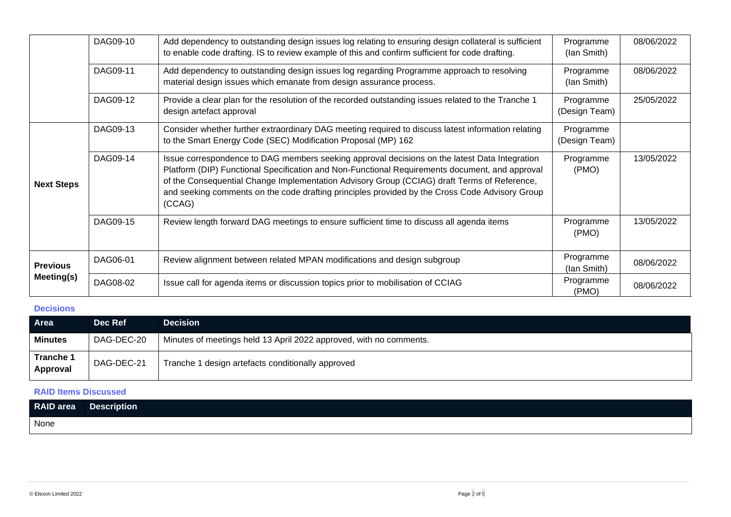|                   | DAG09-10 | Add dependency to outstanding design issues log relating to ensuring design collateral is sufficient<br>to enable code drafting. IS to review example of this and confirm sufficient for code drafting.                                                                                                                                                                                                    | Programme<br>(lan Smith)   | 08/06/2022 |
|-------------------|----------|------------------------------------------------------------------------------------------------------------------------------------------------------------------------------------------------------------------------------------------------------------------------------------------------------------------------------------------------------------------------------------------------------------|----------------------------|------------|
|                   | DAG09-11 | Add dependency to outstanding design issues log regarding Programme approach to resolving<br>material design issues which emanate from design assurance process.                                                                                                                                                                                                                                           | Programme<br>(lan Smith)   | 08/06/2022 |
|                   | DAG09-12 | Provide a clear plan for the resolution of the recorded outstanding issues related to the Tranche 1<br>design artefact approval                                                                                                                                                                                                                                                                            | Programme<br>(Design Team) | 25/05/2022 |
|                   | DAG09-13 | Consider whether further extraordinary DAG meeting required to discuss latest information relating<br>to the Smart Energy Code (SEC) Modification Proposal (MP) 162                                                                                                                                                                                                                                        | Programme<br>(Design Team) |            |
| <b>Next Steps</b> | DAG09-14 | Issue correspondence to DAG members seeking approval decisions on the latest Data Integration<br>Platform (DIP) Functional Specification and Non-Functional Requirements document, and approval<br>of the Consequential Change Implementation Advisory Group (CCIAG) draft Terms of Reference,<br>and seeking comments on the code drafting principles provided by the Cross Code Advisory Group<br>(CCAG) | Programme<br>(PMO)         | 13/05/2022 |
|                   | DAG09-15 | Review length forward DAG meetings to ensure sufficient time to discuss all agenda items                                                                                                                                                                                                                                                                                                                   | Programme<br>(PMO)         | 13/05/2022 |
| <b>Previous</b>   | DAG06-01 | Review alignment between related MPAN modifications and design subgroup                                                                                                                                                                                                                                                                                                                                    | Programme<br>(lan Smith)   | 08/06/2022 |
| Meeting(s)        | DAG08-02 | Issue call for agenda items or discussion topics prior to mobilisation of CCIAG                                                                                                                                                                                                                                                                                                                            | Programme<br>(PMO)         | 08/06/2022 |

# **Decisions**

| Area                         | Dec Ref    | <b>Decision</b>                                                    |
|------------------------------|------------|--------------------------------------------------------------------|
| <b>Minutes</b>               | DAG-DEC-20 | Minutes of meetings held 13 April 2022 approved, with no comments. |
| <b>Tranche 1</b><br>Approval | DAG-DEC-21 | Tranche 1 design artefacts conditionally approved                  |

# **RAID Items Discussed**

| RAID area | <b>Description</b> |
|-----------|--------------------|
| None      |                    |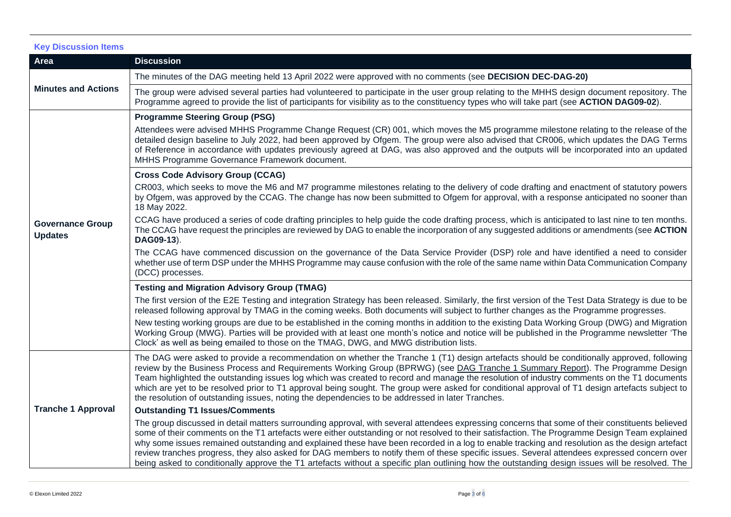## **Key Discussion Items**

| Area                                      | <b>Discussion</b>                                                                                                                                                                                                                                                                                                                                                                                                                                                                                                                                                                                                                                                                                                                                   |  |
|-------------------------------------------|-----------------------------------------------------------------------------------------------------------------------------------------------------------------------------------------------------------------------------------------------------------------------------------------------------------------------------------------------------------------------------------------------------------------------------------------------------------------------------------------------------------------------------------------------------------------------------------------------------------------------------------------------------------------------------------------------------------------------------------------------------|--|
|                                           | The minutes of the DAG meeting held 13 April 2022 were approved with no comments (see DECISION DEC-DAG-20)                                                                                                                                                                                                                                                                                                                                                                                                                                                                                                                                                                                                                                          |  |
| <b>Minutes and Actions</b>                | The group were advised several parties had volunteered to participate in the user group relating to the MHHS design document repository. The<br>Programme agreed to provide the list of participants for visibility as to the constituency types who will take part (see ACTION DAG09-02).                                                                                                                                                                                                                                                                                                                                                                                                                                                          |  |
|                                           | <b>Programme Steering Group (PSG)</b>                                                                                                                                                                                                                                                                                                                                                                                                                                                                                                                                                                                                                                                                                                               |  |
|                                           | Attendees were advised MHHS Programme Change Request (CR) 001, which moves the M5 programme milestone relating to the release of the<br>detailed design baseline to July 2022, had been approved by Ofgem. The group were also advised that CR006, which updates the DAG Terms<br>of Reference in accordance with updates previously agreed at DAG, was also approved and the outputs will be incorporated into an updated<br>MHHS Programme Governance Framework document.                                                                                                                                                                                                                                                                         |  |
|                                           | <b>Cross Code Advisory Group (CCAG)</b>                                                                                                                                                                                                                                                                                                                                                                                                                                                                                                                                                                                                                                                                                                             |  |
| <b>Governance Group</b><br><b>Updates</b> | CR003, which seeks to move the M6 and M7 programme milestones relating to the delivery of code drafting and enactment of statutory powers<br>by Ofgem, was approved by the CCAG. The change has now been submitted to Ofgem for approval, with a response anticipated no sooner than<br>18 May 2022.                                                                                                                                                                                                                                                                                                                                                                                                                                                |  |
|                                           | CCAG have produced a series of code drafting principles to help guide the code drafting process, which is anticipated to last nine to ten months.<br>The CCAG have request the principles are reviewed by DAG to enable the incorporation of any suggested additions or amendments (see ACTION<br>DAG09-13).                                                                                                                                                                                                                                                                                                                                                                                                                                        |  |
|                                           | The CCAG have commenced discussion on the governance of the Data Service Provider (DSP) role and have identified a need to consider<br>whether use of term DSP under the MHHS Programme may cause confusion with the role of the same name within Data Communication Company<br>(DCC) processes.                                                                                                                                                                                                                                                                                                                                                                                                                                                    |  |
|                                           | <b>Testing and Migration Advisory Group (TMAG)</b>                                                                                                                                                                                                                                                                                                                                                                                                                                                                                                                                                                                                                                                                                                  |  |
|                                           | The first version of the E2E Testing and integration Strategy has been released. Similarly, the first version of the Test Data Strategy is due to be<br>released following approval by TMAG in the coming weeks. Both documents will subject to further changes as the Programme progresses.                                                                                                                                                                                                                                                                                                                                                                                                                                                        |  |
|                                           | New testing working groups are due to be established in the coming months in addition to the existing Data Working Group (DWG) and Migration<br>Working Group (MWG). Parties will be provided with at least one month's notice and notice will be published in the Programme newsletter 'The<br>Clock' as well as being emailed to those on the TMAG, DWG, and MWG distribution lists.                                                                                                                                                                                                                                                                                                                                                              |  |
|                                           | The DAG were asked to provide a recommendation on whether the Tranche 1 (T1) design artefacts should be conditionally approved, following<br>review by the Business Process and Requirements Working Group (BPRWG) (see DAG Tranche 1 Summary Report). The Programme Design<br>Team highlighted the outstanding issues log which was created to record and manage the resolution of industry comments on the T1 documents<br>which are yet to be resolved prior to T1 approval being sought. The group were asked for conditional approval of T1 design artefacts subject to<br>the resolution of outstanding issues, noting the dependencies to be addressed in later Tranches.                                                                    |  |
| <b>Tranche 1 Approval</b>                 | <b>Outstanding T1 Issues/Comments</b>                                                                                                                                                                                                                                                                                                                                                                                                                                                                                                                                                                                                                                                                                                               |  |
|                                           | The group discussed in detail matters surrounding approval, with several attendees expressing concerns that some of their constituents believed<br>some of their comments on the T1 artefacts were either outstanding or not resolved to their satisfaction. The Programme Design Team explained<br>why some issues remained outstanding and explained these have been recorded in a log to enable tracking and resolution as the design artefact<br>review tranches progress, they also asked for DAG members to notify them of these specific issues. Several attendees expressed concern over<br>being asked to conditionally approve the T1 artefacts without a specific plan outlining how the outstanding design issues will be resolved. The |  |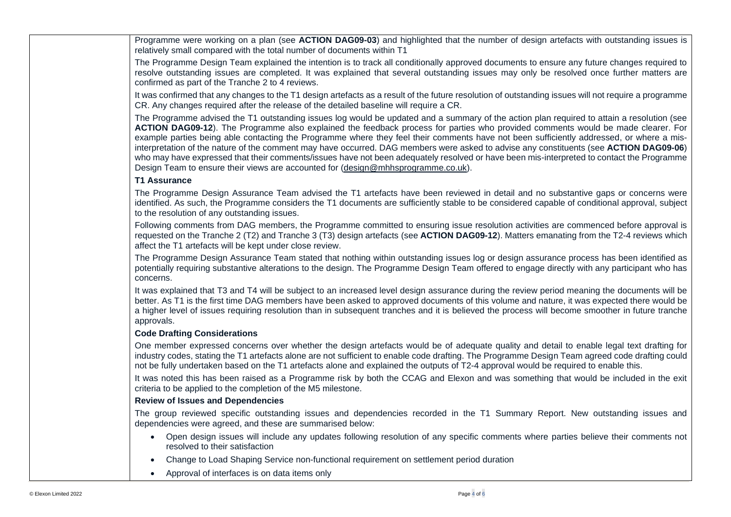Programme were working on a plan (see **ACTION DAG09-03**) and highlighted that the number of design artefacts with outstanding issues is relatively small compared with the total number of documents within T1

The Programme Design Team explained the intention is to track all conditionally approved documents to ensure any future changes required to resolve outstanding issues are completed. It was explained that several outstanding issues may only be resolved once further matters are confirmed as part of the Tranche 2 to 4 reviews.

It was confirmed that any changes to the T1 design artefacts as a result of the future resolution of outstanding issues will not require a programme CR. Any changes required after the release of the detailed baseline will require a CR.

The Programme advised the T1 outstanding issues log would be updated and a summary of the action plan required to attain a resolution (see **ACTION DAG09-12**). The Programme also explained the feedback process for parties who provided comments would be made clearer. For example parties being able contacting the Programme where they feel their comments have not been sufficiently addressed, or where a misinterpretation of the nature of the comment may have occurred. DAG members were asked to advise any constituents (see **ACTION DAG09-06**) who may have expressed that their comments/issues have not been adequately resolved or have been mis-interpreted to contact the Programme Design Team to ensure their views are accounted for [\(design@mhhsprogramme.co.uk\)](mailto:design@mhhsprogramme.co.uk).

## **T1 Assurance**

The Programme Design Assurance Team advised the T1 artefacts have been reviewed in detail and no substantive gaps or concerns were identified. As such, the Programme considers the T1 documents are sufficiently stable to be considered capable of conditional approval, subject to the resolution of any outstanding issues.

Following comments from DAG members, the Programme committed to ensuring issue resolution activities are commenced before approval is requested on the Tranche 2 (T2) and Tranche 3 (T3) design artefacts (see **ACTION DAG09-12**). Matters emanating from the T2-4 reviews which affect the T1 artefacts will be kept under close review.

The Programme Design Assurance Team stated that nothing within outstanding issues log or design assurance process has been identified as potentially requiring substantive alterations to the design. The Programme Design Team offered to engage directly with any participant who has concerns.

It was explained that T3 and T4 will be subject to an increased level design assurance during the review period meaning the documents will be better. As T1 is the first time DAG members have been asked to approved documents of this volume and nature, it was expected there would be a higher level of issues requiring resolution than in subsequent tranches and it is believed the process will become smoother in future tranche approvals.

## **Code Drafting Considerations**

One member expressed concerns over whether the design artefacts would be of adequate quality and detail to enable legal text drafting for industry codes, stating the T1 artefacts alone are not sufficient to enable code drafting. The Programme Design Team agreed code drafting could not be fully undertaken based on the T1 artefacts alone and explained the outputs of T2-4 approval would be required to enable this.

It was noted this has been raised as a Programme risk by both the CCAG and Elexon and was something that would be included in the exit criteria to be applied to the completion of the M5 milestone.

## **Review of Issues and Dependencies**

The group reviewed specific outstanding issues and dependencies recorded in the T1 Summary Report. New outstanding issues and dependencies were agreed, and these are summarised below:

- Open design issues will include any updates following resolution of any specific comments where parties believe their comments not resolved to their satisfaction
- Change to Load Shaping Service non-functional requirement on settlement period duration
- Approval of interfaces is on data items only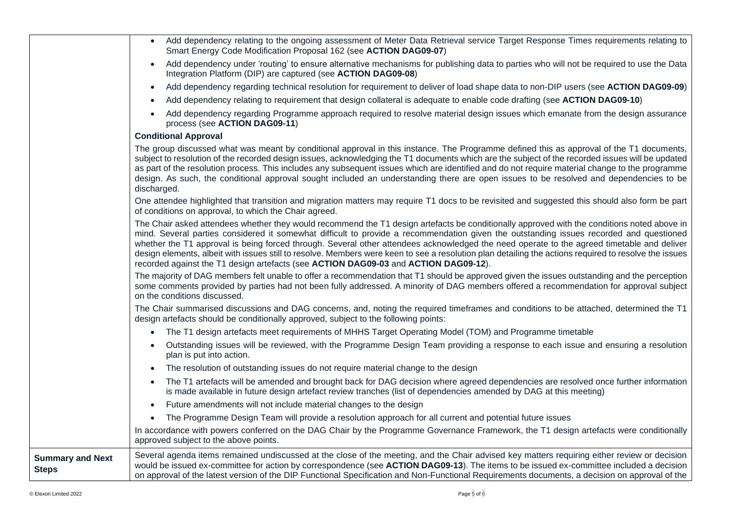|                                         | Add dependency relating to the ongoing assessment of Meter Data Retrieval service Target Response Times requirements relating to<br>$\bullet$<br>Smart Energy Code Modification Proposal 162 (see ACTION DAG09-07)                                                                                                                                                                                                                                                                                                                                                                                                                                                                   |
|-----------------------------------------|--------------------------------------------------------------------------------------------------------------------------------------------------------------------------------------------------------------------------------------------------------------------------------------------------------------------------------------------------------------------------------------------------------------------------------------------------------------------------------------------------------------------------------------------------------------------------------------------------------------------------------------------------------------------------------------|
|                                         | Add dependency under 'routing' to ensure alternative mechanisms for publishing data to parties who will not be required to use the Data<br>$\bullet$<br>Integration Platform (DIP) are captured (see ACTION DAG09-08)                                                                                                                                                                                                                                                                                                                                                                                                                                                                |
|                                         | Add dependency regarding technical resolution for requirement to deliver of load shape data to non-DIP users (see ACTION DAG09-09)<br>$\bullet$                                                                                                                                                                                                                                                                                                                                                                                                                                                                                                                                      |
|                                         | Add dependency relating to requirement that design collateral is adequate to enable code drafting (see ACTION DAG09-10)<br>$\bullet$                                                                                                                                                                                                                                                                                                                                                                                                                                                                                                                                                 |
|                                         | Add dependency regarding Programme approach required to resolve material design issues which emanate from the design assurance<br>process (see ACTION DAG09-11)                                                                                                                                                                                                                                                                                                                                                                                                                                                                                                                      |
|                                         | <b>Conditional Approval</b>                                                                                                                                                                                                                                                                                                                                                                                                                                                                                                                                                                                                                                                          |
|                                         | The group discussed what was meant by conditional approval in this instance. The Programme defined this as approval of the T1 documents,<br>subject to resolution of the recorded design issues, acknowledging the T1 documents which are the subject of the recorded issues will be updated<br>as part of the resolution process. This includes any subsequent issues which are identified and do not require material change to the programme<br>design. As such, the conditional approval sought included an understanding there are open issues to be resolved and dependencies to be<br>discharged.                                                                             |
|                                         | One attendee highlighted that transition and migration matters may require T1 docs to be revisited and suggested this should also form be part<br>of conditions on approval, to which the Chair agreed.                                                                                                                                                                                                                                                                                                                                                                                                                                                                              |
|                                         | The Chair asked attendees whether they would recommend the T1 design artefacts be conditionally approved with the conditions noted above in<br>mind. Several parties considered it somewhat difficult to provide a recommendation given the outstanding issues recorded and questioned<br>whether the T1 approval is being forced through. Several other attendees acknowledged the need operate to the agreed timetable and deliver<br>design elements, albeit with issues still to resolve. Members were keen to see a resolution plan detailing the actions required to resolve the issues<br>recorded against the T1 design artefacts (see ACTION DAG09-03 and ACTION DAG09-12). |
|                                         | The majority of DAG members felt unable to offer a recommendation that T1 should be approved given the issues outstanding and the perception<br>some comments provided by parties had not been fully addressed. A minority of DAG members offered a recommendation for approval subject<br>on the conditions discussed.                                                                                                                                                                                                                                                                                                                                                              |
|                                         | The Chair summarised discussions and DAG concerns, and, noting the required timeframes and conditions to be attached, determined the T1<br>design artefacts should be conditionally approved, subject to the following points:                                                                                                                                                                                                                                                                                                                                                                                                                                                       |
|                                         | The T1 design artefacts meet requirements of MHHS Target Operating Model (TOM) and Programme timetable                                                                                                                                                                                                                                                                                                                                                                                                                                                                                                                                                                               |
|                                         | Outstanding issues will be reviewed, with the Programme Design Team providing a response to each issue and ensuring a resolution<br>$\bullet$<br>plan is put into action.                                                                                                                                                                                                                                                                                                                                                                                                                                                                                                            |
|                                         | The resolution of outstanding issues do not require material change to the design<br>$\bullet$                                                                                                                                                                                                                                                                                                                                                                                                                                                                                                                                                                                       |
|                                         | The T1 artefacts will be amended and brought back for DAG decision where agreed dependencies are resolved once further information<br>$\bullet$<br>is made available in future design artefact review tranches (list of dependencies amended by DAG at this meeting)                                                                                                                                                                                                                                                                                                                                                                                                                 |
|                                         | Future amendments will not include material changes to the design<br>$\bullet$                                                                                                                                                                                                                                                                                                                                                                                                                                                                                                                                                                                                       |
|                                         | The Programme Design Team will provide a resolution approach for all current and potential future issues<br>$\bullet$                                                                                                                                                                                                                                                                                                                                                                                                                                                                                                                                                                |
|                                         | In accordance with powers conferred on the DAG Chair by the Programme Governance Framework, the T1 design artefacts were conditionally<br>approved subject to the above points.                                                                                                                                                                                                                                                                                                                                                                                                                                                                                                      |
| <b>Summary and Next</b><br><b>Steps</b> | Several agenda items remained undiscussed at the close of the meeting, and the Chair advised key matters requiring either review or decision<br>would be issued ex-committee for action by correspondence (see ACTION DAG09-13). The items to be issued ex-committee included a decision<br>on approval of the latest version of the DIP Functional Specification and Non-Functional Requirements documents, a decision on approval of the                                                                                                                                                                                                                                           |